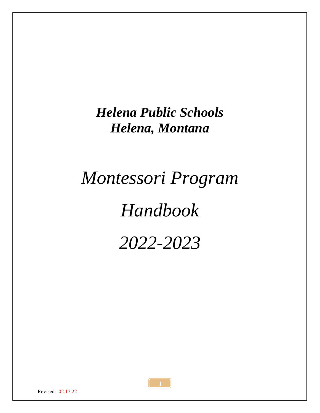# *Helena Public Schools Helena, Montana*

# *Montessori Program Handbook 2022-2023*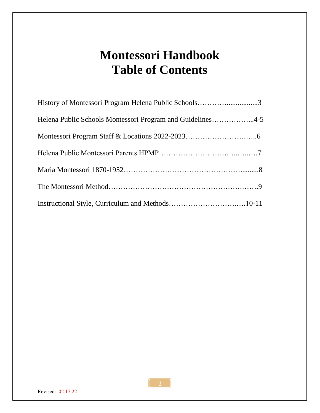# **Montessori Handbook Table of Contents**

| History of Montessori Program Helena Public Schools3       |  |
|------------------------------------------------------------|--|
| Helena Public Schools Montessori Program and Guidelines4-5 |  |
|                                                            |  |
|                                                            |  |
|                                                            |  |
|                                                            |  |
|                                                            |  |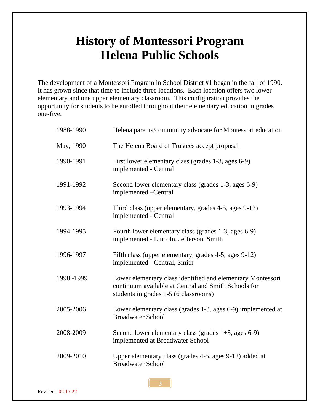### **History of Montessori Program Helena Public Schools**

The development of a Montessori Program in School District #1 began in the fall of 1990. It has grown since that time to include three locations. Each location offers two lower elementary and one upper elementary classroom. This configuration provides the opportunity for students to be enrolled throughout their elementary education in grades one-five.

| 1988-1990   | Helena parents/community advocate for Montessori education                                                                                                   |
|-------------|--------------------------------------------------------------------------------------------------------------------------------------------------------------|
| May, 1990   | The Helena Board of Trustees accept proposal                                                                                                                 |
| 1990-1991   | First lower elementary class (grades 1-3, ages 6-9)<br>implemented - Central                                                                                 |
| 1991-1992   | Second lower elementary class (grades 1-3, ages 6-9)<br>implemented -Central                                                                                 |
| 1993-1994   | Third class (upper elementary, grades 4-5, ages 9-12)<br>implemented - Central                                                                               |
| 1994-1995   | Fourth lower elementary class (grades 1-3, ages 6-9)<br>implemented - Lincoln, Jefferson, Smith                                                              |
| 1996-1997   | Fifth class (upper elementary, grades 4-5, ages 9-12)<br>implemented - Central, Smith                                                                        |
| 1998 - 1999 | Lower elementary class identified and elementary Montessori<br>continuum available at Central and Smith Schools for<br>students in grades 1-5 (6 classrooms) |
| 2005-2006   | Lower elementary class (grades 1-3. ages 6-9) implemented at<br><b>Broadwater School</b>                                                                     |
| 2008-2009   | Second lower elementary class (grades $1+3$ , ages 6-9)<br>implemented at Broadwater School                                                                  |
| 2009-2010   | Upper elementary class (grades 4-5. ages 9-12) added at<br><b>Broadwater School</b>                                                                          |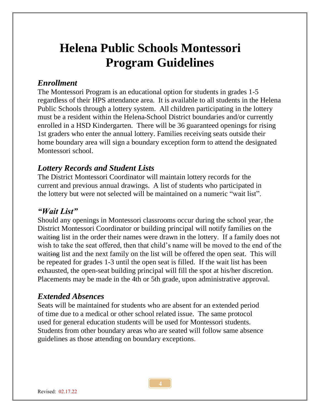### **Helena Public Schools Montessori Program Guidelines**

#### *Enrollment*

The Montessori Program is an educational option for students in grades 1-5 regardless of their HPS attendance area. It is available to all students in the Helena Public Schools through a lottery system. All children participating in the lottery must be a resident within the Helena School District boundaries and/or currently enrolled in a HSD Kindergarten. There will be 36 guaranteed openings for rising 1st graders who enter the annual lottery. Families receiving seats outside their home boundary area will sign a boundary exception form to attend the designated Montessori school.

#### *Lottery Records and Student Lists*

The District Montessori Coordinator will maintain lottery records for the current and previous annual drawings. A list of students who participated in the lottery but were not selected will be maintained on a numeric "wait list".

#### *"Wait List"*

Should any openings in Montessori classrooms occur during the school year, the District Montessori Coordinator or building principal will notify families on the waiting list in the order their names were drawn in the lottery. If a family does not wish to take the seat offered, then that child's name will be moved to the end of the waiting list and the next family on the list will be offered the open seat. This will be repeated for grades 1-3 until the open seat is filled. If the wait list has been exhausted, the open-seat building principal will fill the spot at his/her discretion. Placements may be made in the 4th or 5th grade, upon administrative approval.

#### *Extended Absences*

Seats will be maintained for students who are absent for an extended period of time due to a medical or other school related issue. The same protocol used for general education students will be used for Montessori students. Students from other boundary areas who are seated will follow same absence guidelines as those attending on boundary exceptions.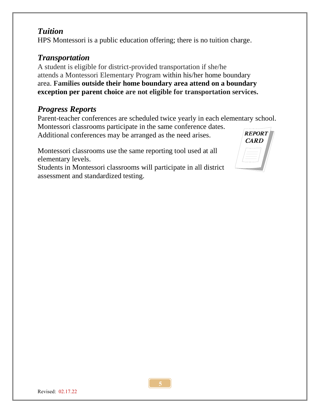### *Tuition*

HPS Montessori is a public education offering; there is no tuition charge.

#### *Transportation*

A student is eligible for district-provided transportation if she/he attends a Montessori Elementary Program within his/her home boundary area. **Families outside their home boundary area attend on a boundary exception per parent choice are not eligible for transportation services.**

### *Progress Reports*

Parent-teacher conferences are scheduled twice yearly in each elementary school.

Montessori classrooms participate in the same conference dates. Additional conferences may be arranged as the need arises.

Montessori classrooms use the same reporting tool used at all elementary levels.

Students in Montessori classrooms will participate in all district assessment and standardized testing.

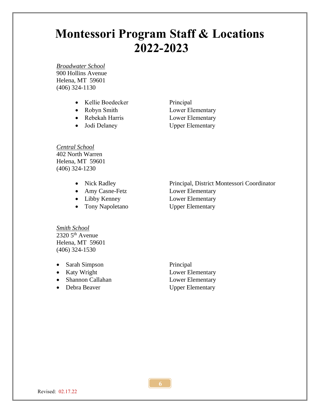### **Montessori Program Staff & Locations 2022-2023**

*Broadwater School* 900 Hollins Avenue Helena, MT 59601 (406) 324-1130

- Kellie Boedecker Principal
- 
- 
- 

• Robyn Smith Lower Elementary • Rebekah Harris Lower Elementary • Jodi Delaney Upper Elementary

*Central School* 402 North Warren Helena, MT 59601 (406) 324-1230

- 
- Amy Casne-Fetz Lower Elementary
- 
- Tony Napoletano Upper Elementary

• Nick Radley Principal, District Montessori Coordinator • Libby Kenney Lower Elementary

*Smith School*  $2320\,5^{\text{th}}$  Avenue Helena, MT 59601 (406) 324-1530

- Sarah Simpson Principal
- 
- Shannon Callahan Lower Elementary
- 

• Katy Wright Lower Elementary • Debra Beaver Upper Elementary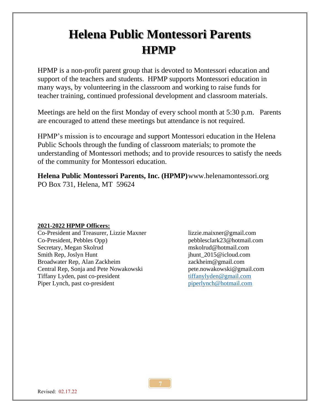## **Helena Public Montessori Parents HPMP**

HPMP is a non-profit parent group that is devoted to Montessori education and support of the teachers and students. HPMP supports Montessori education in many ways, by volunteering in the classroom and working to raise funds for teacher training, continued professional development and classroom materials.

Meetings are held on the first Monday of every school month at 5:30 p.m. Parents are encouraged to attend these meetings but attendance is not required.

HPMP's mission is to encourage and support Montessori education in the Helena Public Schools through the funding of classroom materials; to promote the understanding of Montessori methods; and to provide resources to satisfy the needs of the community for Montessori education.

**Helena Public Montessori Parents, Inc. (HPMP)**www.helenamontessori.org PO Box 731, Helena, MT 59624

#### **2021-2022 HPMP Officers:**

Co-President and Treasurer, Lizzie Maxner lizzie.maixner@gmail.com Co-President, Pebbles Opp) pebblesclark23@hotmail.com Secretary, Megan Skolrud mskolrud@hotmail.com Smith Rep, Joslyn Hunt jhunt 1015@icloud.com Broadwater Rep, Alan Zackheim **zackheim** zackheim **zackheim@gmail.com** Central Rep, Sonja and Pete Nowakowski pete.nowakowski@gmail.com Tiffany Lyden, past co-president [tiffanylyden@gmail.com](mailto:tiffanylyden@gmail.com) Piper Lynch, past co-president piper [piperlynch@hotmail.com](mailto:piperlynch@hotmail.com)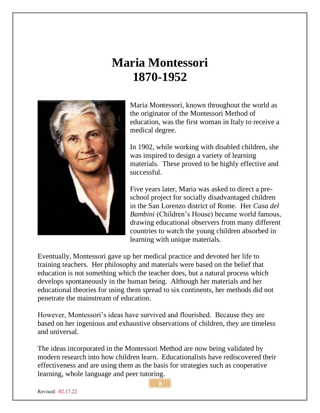### **Maria Montessori 1870-1952**



Maria Montessori, known throughout the world as the originator of the Montessori Method of education, was the first woman in Italy to receive a medical degree.

In 1902, while working with disabled children, she was inspired to design a variety of learning materials. These proved to be highly effective and successful.

Five years later, Maria was asked to direct a preschool project for socially disadvantaged children in the San Lorenzo district of Rome. Her *Casa del Bambini* (Children's House) became world famous, drawing educational observers from many different countries to watch the young children absorbed in learning with unique materials.

Eventually, Montessori gave up her medical practice and devoted her life to training teachers. Her philosophy and materials were based on the belief that education is not something which the teacher does, but a natural process which develops spontaneously in the human being. Although her materials and her educational theories for using them spread to six continents, her methods did not penetrate the mainstream of education.

However, Montessori's ideas have survived and flourished. Because they are based on her ingenious and exhaustive observations of children, they are timeless and universal.

The ideas incorporated in the Montessori Method are now being validated by modern research into how children learn. Educationalists have rediscovered their effectiveness and are using them as the basis for strategies such as cooperative learning, whole language and peer tutoring.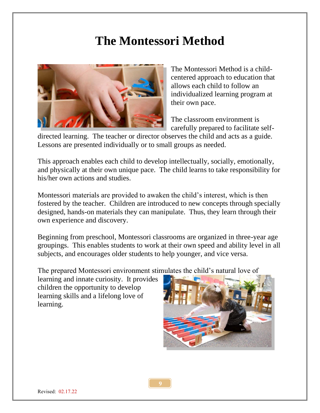### **The Montessori Method**



The Montessori Method is a childcentered approach to education that allows each child to follow an individualized learning program at their own pace.

The classroom environment is carefully prepared to facilitate self-

directed learning. The teacher or director observes the child and acts as a guide. Lessons are presented individually or to small groups as needed.

This approach enables each child to develop intellectually, socially, emotionally, and physically at their own unique pace. The child learns to take responsibility for his/her own actions and studies.

Montessori materials are provided to awaken the child's interest, which is then fostered by the teacher. Children are introduced to new concepts through specially designed, hands-on materials they can manipulate. Thus, they learn through their own experience and discovery.

Beginning from preschool, Montessori classrooms are organized in three-year age groupings. This enables students to work at their own speed and ability level in all subjects, and encourages older students to help younger, and vice versa.

The prepared Montessori environment stimulates the child's natural love of

learning and innate curiosity. It provides children the opportunity to develop learning skills and a lifelong love of learning.

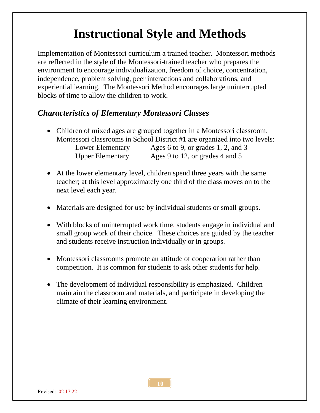# **Instructional Style and Methods**

Implementation of Montessori curriculum a trained teacher. Montessori methods are reflected in the style of the Montessori-trained teacher who prepares the environment to encourage individualization, freedom of choice, concentration, independence, problem solving, peer interactions and collaborations, and experiential learning. The Montessori Method encourages large uninterrupted blocks of time to allow the children to work.

### *Characteristics of Elementary Montessori Classes*

- Children of mixed ages are grouped together in a Montessori classroom. Montessori classrooms in School District #1 are organized into two levels: Lower Elementary Ages 6 to 9, or grades 1, 2, and 3 Upper Elementary Ages 9 to 12, or grades 4 and 5
- At the lower elementary level, children spend three years with the same teacher; at this level approximately one third of the class moves on to the next level each year.
- Materials are designed for use by individual students or small groups.
- With blocks of uninterrupted work time, students engage in individual and small group work of their choice. These choices are guided by the teacher and students receive instruction individually or in groups.
- Montessori classrooms promote an attitude of cooperation rather than competition. It is common for students to ask other students for help.
- The development of individual responsibility is emphasized. Children maintain the classroom and materials, and participate in developing the climate of their learning environment.